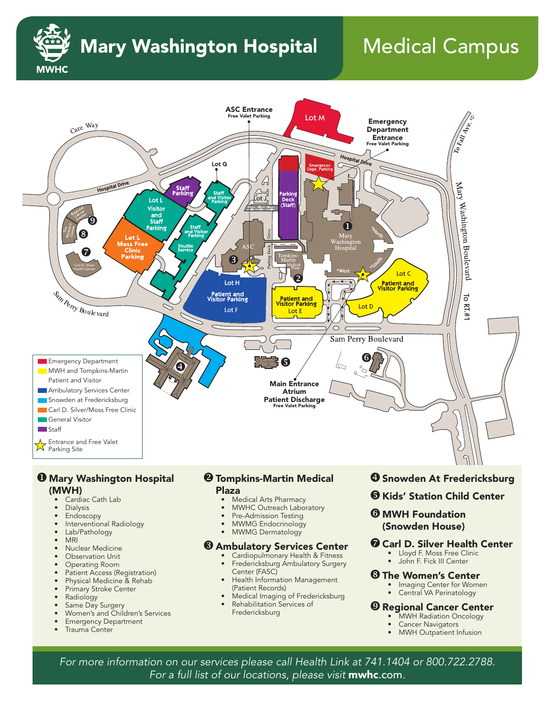

# **Mary Washington Hospital**

# Medical Campus



- Cardiac Cath Lab<br>• Dialysis
- **Dialysis**
- Endoscopy
- Interventional Radiology
- Lab/Pathology
- MRI
- Nuclear Medicine
- Observation Unit
- Operating Room
- Patient Access (Registration)<br>• Physical Medicine & Rehab
- Physical Medicine & Rehab<br>• Primary Stroke Center
- Primary Stroke Center
- **Radiology**
- Same Day Surgery
- Women's and Children's Services
- **Emergency Department**
- Trauma Center
- Plaza
	- Medical Arts Pharmacy
	- MWHC Outreach Laboratory
	- Pre-Admission Testing
	- MWMG Endocrinology
	- MWMG Dermatology

### **& Ambulatory Services Center**

- Cardiopulmonary Health & Fitness • Fredericksburg Ambulatory Surgery Center (FASC)
- Health Information Management (Patient Records)
- Medical Imaging of Fredericksburg
- Rehabilitation Services of Fredericksburg
- **O** Kids' Station Child Center
- **@ MWH Foundation** (Snowden House)

### **<sup>O</sup>** Carl D. Silver Health Center

- Lloyd F. Moss Free Clinic • John F. Fick III Center
- 

#### **& The Women's Center**

- Imaging Center for Women
- Central VA Perinatology

#### **@ Regional Cancer Center**

- **MWH Radiation Oncology**
- Cancer Navigators
- MWH Outpatient Infusion

*For more information on our services please call Health Link at 741.1404 or 800.722.2788. For a full list of our locations, please visit* mwhc.com*.*